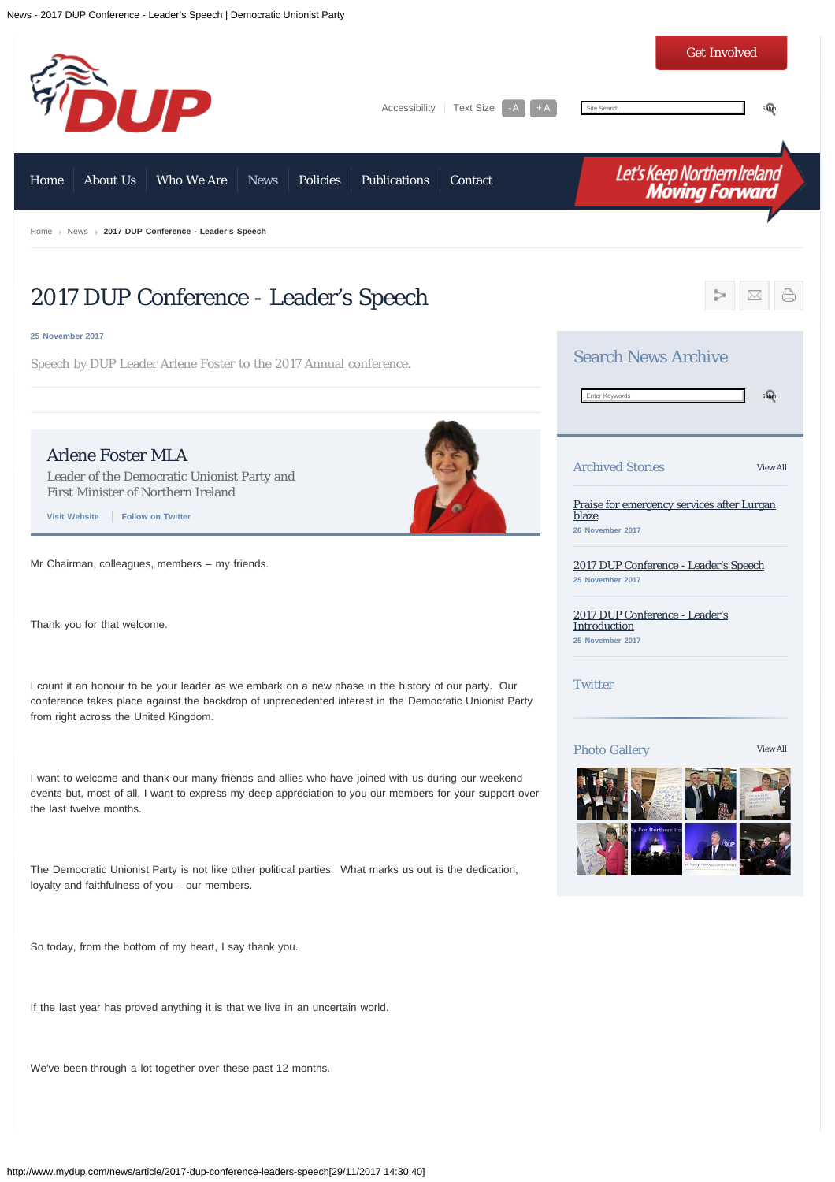<span id="page-0-0"></span>

We've been through a lot together over these past 12 months.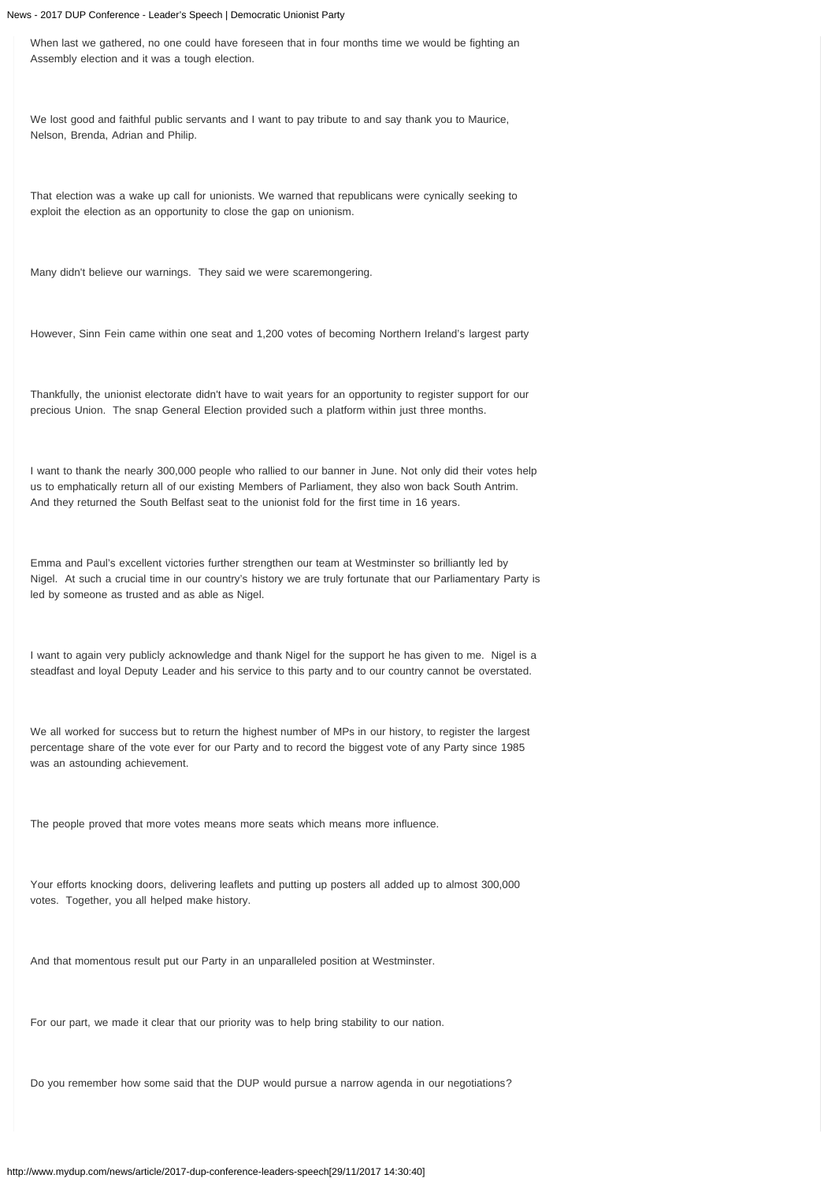When last we gathered, no one could have foreseen that in four months time we would be fighting an Assembly election and it was a tough election.

We lost good and faithful public servants and I want to pay tribute to and say thank you to Maurice, Nelson, Brenda, Adrian and Philip.

That election was a wake up call for unionists. We warned that republicans were cynically seeking to exploit the election as an opportunity to close the gap on unionism.

Many didn't believe our warnings. They said we were scaremongering.

However, Sinn Fein came within one seat and 1,200 votes of becoming Northern Ireland's largest party

Thankfully, the unionist electorate didn't have to wait years for an opportunity to register support for our precious Union. The snap General Election provided such a platform within just three months.

I want to thank the nearly 300,000 people who rallied to our banner in June. Not only did their votes help us to emphatically return all of our existing Members of Parliament, they also won back South Antrim. And they returned the South Belfast seat to the unionist fold for the first time in 16 years.

Emma and Paul's excellent victories further strengthen our team at Westminster so brilliantly led by Nigel. At such a crucial time in our country's history we are truly fortunate that our Parliamentary Party is led by someone as trusted and as able as Nigel.

I want to again very publicly acknowledge and thank Nigel for the support he has given to me. Nigel is a steadfast and loyal Deputy Leader and his service to this party and to our country cannot be overstated.

We all worked for success but to return the highest number of MPs in our history, to register the largest percentage share of the vote ever for our Party and to record the biggest vote of any Party since 1985 was an astounding achievement.

The people proved that more votes means more seats which means more influence.

Your efforts knocking doors, delivering leaflets and putting up posters all added up to almost 300,000 votes. Together, you all helped make history.

And that momentous result put our Party in an unparalleled position at Westminster.

For our part, we made it clear that our priority was to help bring stability to our nation.

Do you remember how some said that the DUP would pursue a narrow agenda in our negotiations?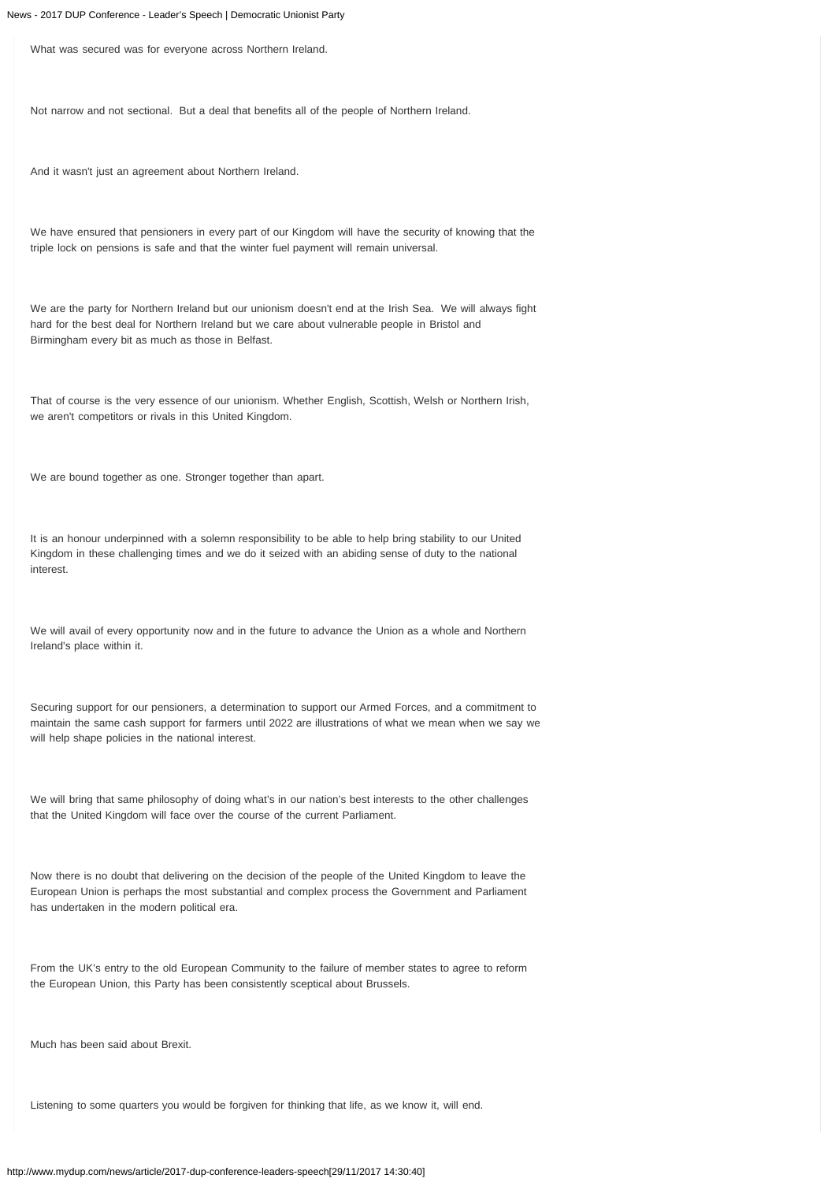What was secured was for everyone across Northern Ireland.

Not narrow and not sectional. But a deal that benefits all of the people of Northern Ireland.

And it wasn't just an agreement about Northern Ireland.

We have ensured that pensioners in every part of our Kingdom will have the security of knowing that the triple lock on pensions is safe and that the winter fuel payment will remain universal.

We are the party for Northern Ireland but our unionism doesn't end at the Irish Sea. We will always fight hard for the best deal for Northern Ireland but we care about vulnerable people in Bristol and Birmingham every bit as much as those in Belfast.

That of course is the very essence of our unionism. Whether English, Scottish, Welsh or Northern Irish, we aren't competitors or rivals in this United Kingdom.

We are bound together as one. Stronger together than apart.

It is an honour underpinned with a solemn responsibility to be able to help bring stability to our United Kingdom in these challenging times and we do it seized with an abiding sense of duty to the national interest.

We will avail of every opportunity now and in the future to advance the Union as a whole and Northern Ireland's place within it.

Securing support for our pensioners, a determination to support our Armed Forces, and a commitment to maintain the same cash support for farmers until 2022 are illustrations of what we mean when we say we will help shape policies in the national interest.

We will bring that same philosophy of doing what's in our nation's best interests to the other challenges that the United Kingdom will face over the course of the current Parliament.

Now there is no doubt that delivering on the decision of the people of the United Kingdom to leave the European Union is perhaps the most substantial and complex process the Government and Parliament has undertaken in the modern political era.

From the UK's entry to the old European Community to the failure of member states to agree to reform the European Union, this Party has been consistently sceptical about Brussels.

Much has been said about Brexit.

Listening to some quarters you would be forgiven for thinking that life, as we know it, will end.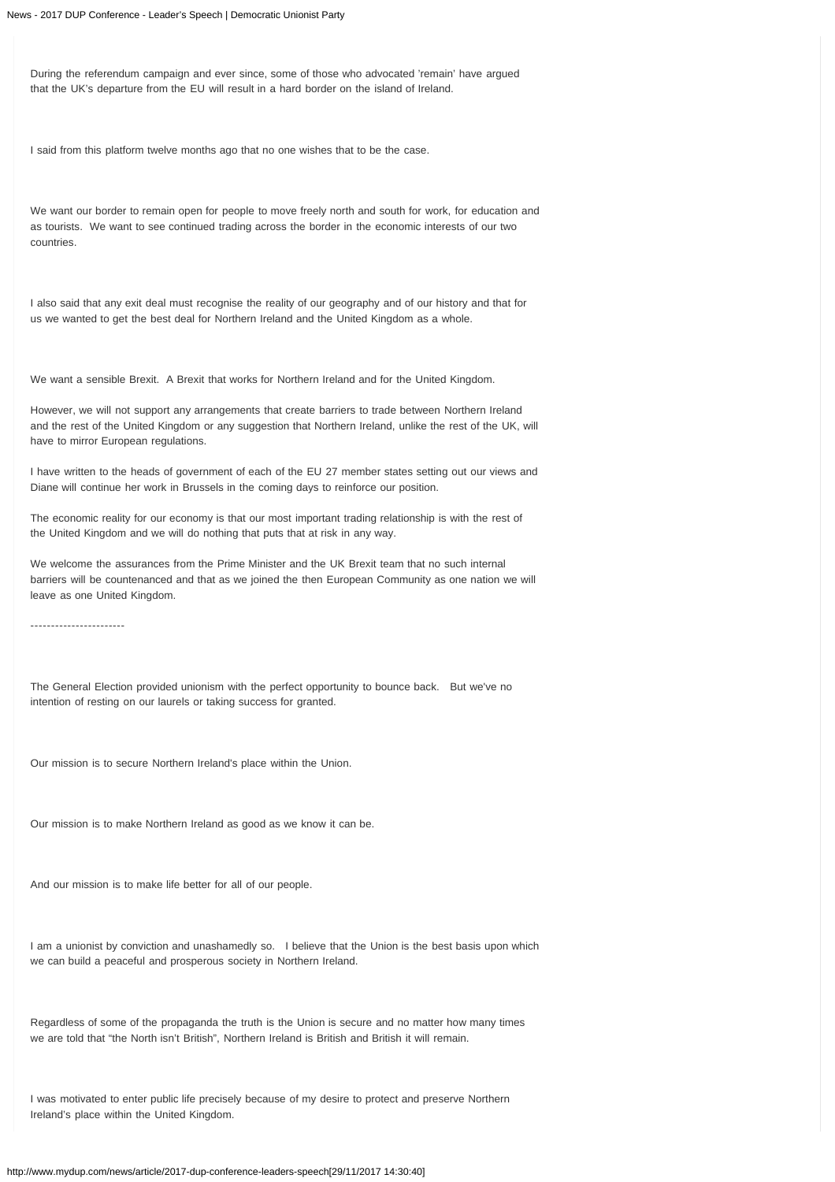During the referendum campaign and ever since, some of those who advocated 'remain' have argued that the UK's departure from the EU will result in a hard border on the island of Ireland.

I said from this platform twelve months ago that no one wishes that to be the case.

We want our border to remain open for people to move freely north and south for work, for education and as tourists. We want to see continued trading across the border in the economic interests of our two countries.

I also said that any exit deal must recognise the reality of our geography and of our history and that for us we wanted to get the best deal for Northern Ireland and the United Kingdom as a whole.

We want a sensible Brexit. A Brexit that works for Northern Ireland and for the United Kingdom.

However, we will not support any arrangements that create barriers to trade between Northern Ireland and the rest of the United Kingdom or any suggestion that Northern Ireland, unlike the rest of the UK, will have to mirror European regulations.

I have written to the heads of government of each of the EU 27 member states setting out our views and Diane will continue her work in Brussels in the coming days to reinforce our position.

The economic reality for our economy is that our most important trading relationship is with the rest of the United Kingdom and we will do nothing that puts that at risk in any way.

We welcome the assurances from the Prime Minister and the UK Brexit team that no such internal barriers will be countenanced and that as we joined the then European Community as one nation we will leave as one United Kingdom.

-----------------------

The General Election provided unionism with the perfect opportunity to bounce back. But we've no intention of resting on our laurels or taking success for granted.

Our mission is to secure Northern Ireland's place within the Union.

Our mission is to make Northern Ireland as good as we know it can be.

And our mission is to make life better for all of our people.

I am a unionist by conviction and unashamedly so. I believe that the Union is the best basis upon which we can build a peaceful and prosperous society in Northern Ireland.

Regardless of some of the propaganda the truth is the Union is secure and no matter how many times we are told that "the North isn't British", Northern Ireland is British and British it will remain.

I was motivated to enter public life precisely because of my desire to protect and preserve Northern Ireland's place within the United Kingdom.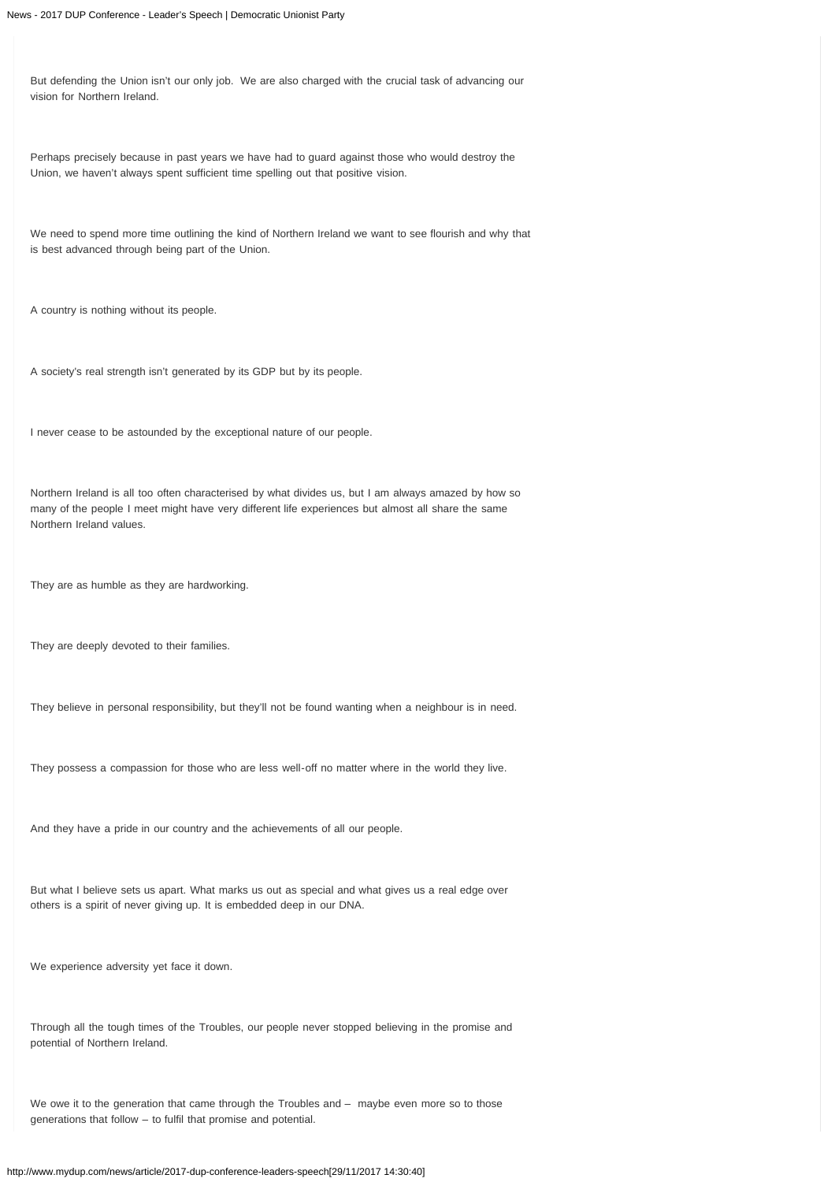But defending the Union isn't our only job. We are also charged with the crucial task of advancing our vision for Northern Ireland.

Perhaps precisely because in past years we have had to guard against those who would destroy the Union, we haven't always spent sufficient time spelling out that positive vision.

We need to spend more time outlining the kind of Northern Ireland we want to see flourish and why that is best advanced through being part of the Union.

A country is nothing without its people.

A society's real strength isn't generated by its GDP but by its people.

I never cease to be astounded by the exceptional nature of our people.

Northern Ireland is all too often characterised by what divides us, but I am always amazed by how so many of the people I meet might have very different life experiences but almost all share the same Northern Ireland values.

They are as humble as they are hardworking.

They are deeply devoted to their families.

They believe in personal responsibility, but they'll not be found wanting when a neighbour is in need.

They possess a compassion for those who are less well-off no matter where in the world they live.

And they have a pride in our country and the achievements of all our people.

But what I believe sets us apart. What marks us out as special and what gives us a real edge over others is a spirit of never giving up. It is embedded deep in our DNA.

We experience adversity yet face it down.

Through all the tough times of the Troubles, our people never stopped believing in the promise and potential of Northern Ireland.

We owe it to the generation that came through the Troubles and – maybe even more so to those generations that follow – to fulfil that promise and potential.

http://www.mydup.com/news/article/2017-dup-conference-leaders-speech[29/11/2017 14:30:40]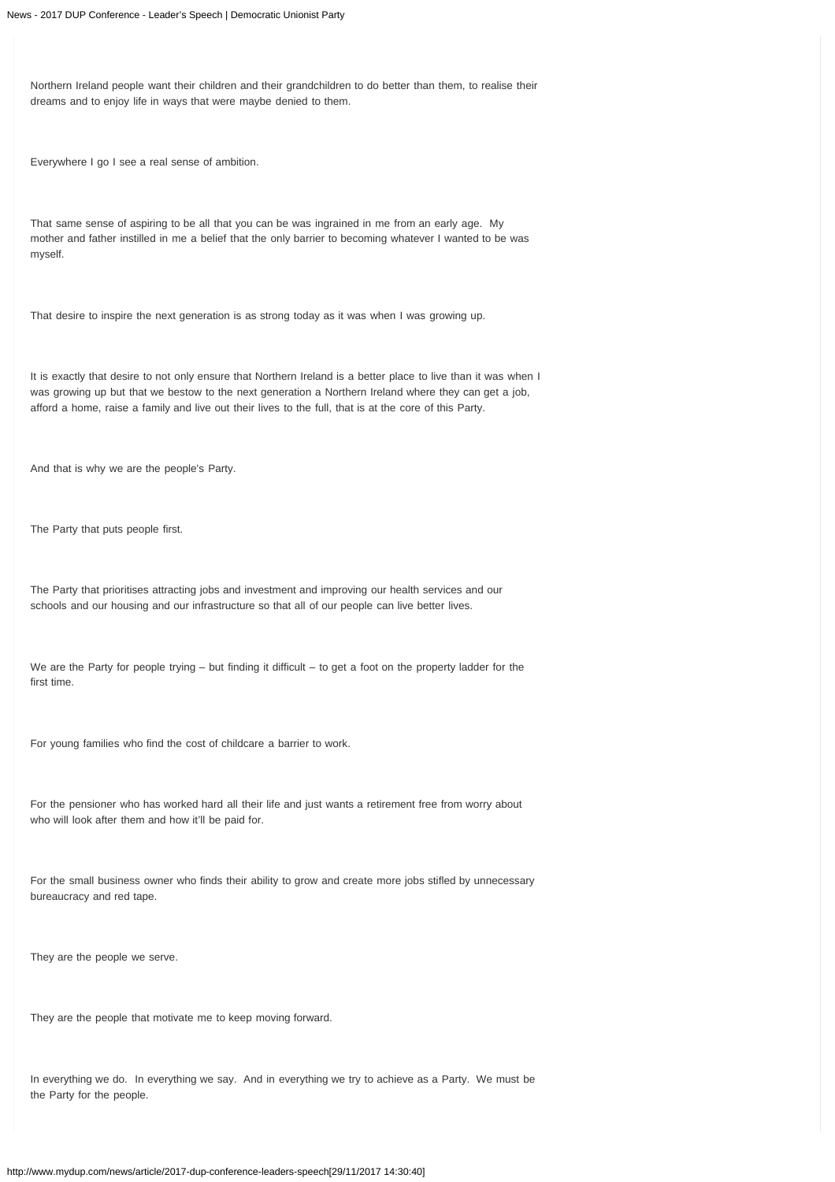Northern Ireland people want their children and their grandchildren to do better than them, to realise their dreams and to enjoy life in ways that were maybe denied to them.

Everywhere I go I see a real sense of ambition.

That same sense of aspiring to be all that you can be was ingrained in me from an early age. My mother and father instilled in me a belief that the only barrier to becoming whatever I wanted to be was myself.

That desire to inspire the next generation is as strong today as it was when I was growing up.

It is exactly that desire to not only ensure that Northern Ireland is a better place to live than it was when I was growing up but that we bestow to the next generation a Northern Ireland where they can get a job, afford a home, raise a family and live out their lives to the full, that is at the core of this Party.

And that is why we are the people's Party.

The Party that puts people first.

The Party that prioritises attracting jobs and investment and improving our health services and our schools and our housing and our infrastructure so that all of our people can live better lives.

We are the Party for people trying – but finding it difficult – to get a foot on the property ladder for the first time.

For young families who find the cost of childcare a barrier to work.

For the pensioner who has worked hard all their life and just wants a retirement free from worry about who will look after them and how it'll be paid for.

For the small business owner who finds their ability to grow and create more jobs stifled by unnecessary bureaucracy and red tape.

They are the people we serve.

They are the people that motivate me to keep moving forward.

In everything we do. In everything we say. And in everything we try to achieve as a Party. We must be the Party for the people.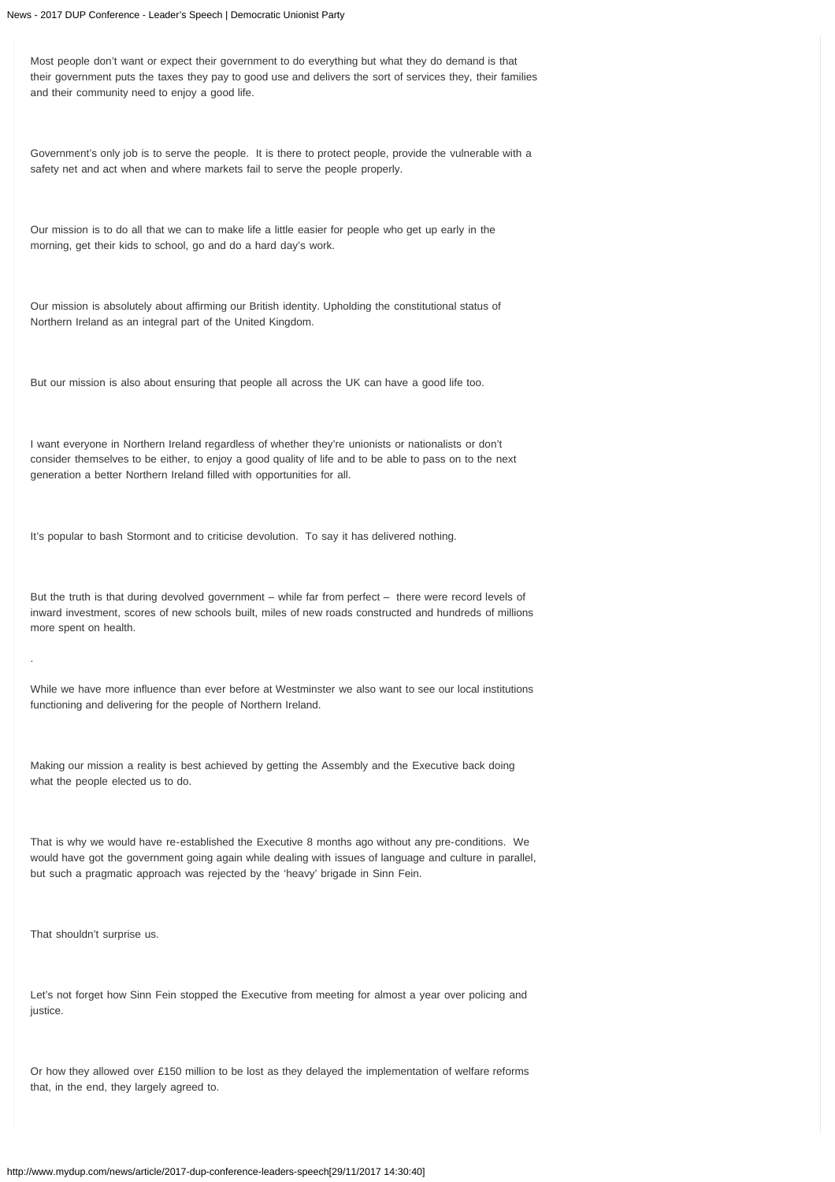Most people don't want or expect their government to do everything but what they do demand is that their government puts the taxes they pay to good use and delivers the sort of services they, their families and their community need to enjoy a good life.

Government's only job is to serve the people. It is there to protect people, provide the vulnerable with a safety net and act when and where markets fail to serve the people properly.

Our mission is to do all that we can to make life a little easier for people who get up early in the morning, get their kids to school, go and do a hard day's work.

Our mission is absolutely about affirming our British identity. Upholding the constitutional status of Northern Ireland as an integral part of the United Kingdom.

But our mission is also about ensuring that people all across the UK can have a good life too.

I want everyone in Northern Ireland regardless of whether they're unionists or nationalists or don't consider themselves to be either, to enjoy a good quality of life and to be able to pass on to the next generation a better Northern Ireland filled with opportunities for all.

It's popular to bash Stormont and to criticise devolution. To say it has delivered nothing.

But the truth is that during devolved government – while far from perfect – there were record levels of inward investment, scores of new schools built, miles of new roads constructed and hundreds of millions more spent on health.

While we have more influence than ever before at Westminster we also want to see our local institutions functioning and delivering for the people of Northern Ireland.

Making our mission a reality is best achieved by getting the Assembly and the Executive back doing what the people elected us to do.

That is why we would have re-established the Executive 8 months ago without any pre-conditions. We would have got the government going again while dealing with issues of language and culture in parallel, but such a pragmatic approach was rejected by the 'heavy' brigade in Sinn Fein.

That shouldn't surprise us.

.

Let's not forget how Sinn Fein stopped the Executive from meeting for almost a year over policing and justice.

Or how they allowed over £150 million to be lost as they delayed the implementation of welfare reforms that, in the end, they largely agreed to.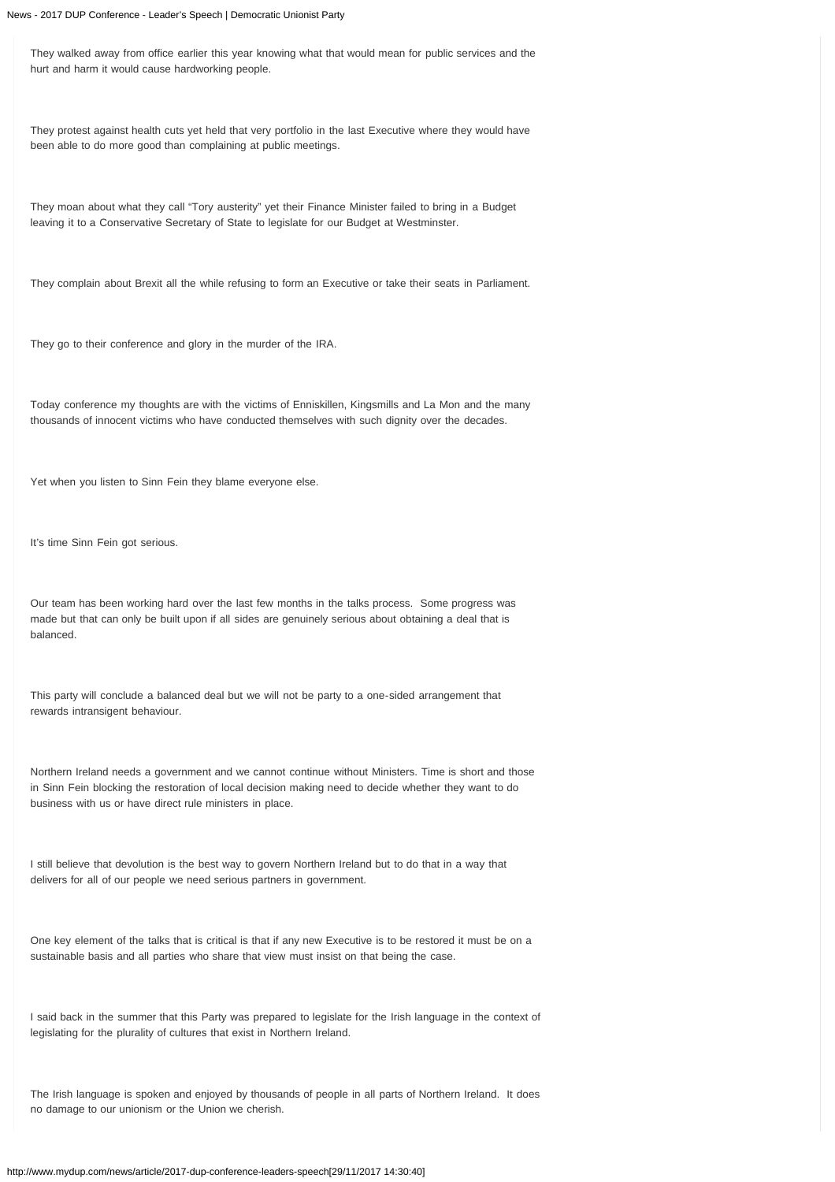They walked away from office earlier this year knowing what that would mean for public services and the hurt and harm it would cause hardworking people.

They protest against health cuts yet held that very portfolio in the last Executive where they would have been able to do more good than complaining at public meetings.

They moan about what they call "Tory austerity" yet their Finance Minister failed to bring in a Budget leaving it to a Conservative Secretary of State to legislate for our Budget at Westminster.

They complain about Brexit all the while refusing to form an Executive or take their seats in Parliament.

They go to their conference and glory in the murder of the IRA.

Today conference my thoughts are with the victims of Enniskillen, Kingsmills and La Mon and the many thousands of innocent victims who have conducted themselves with such dignity over the decades.

Yet when you listen to Sinn Fein they blame everyone else.

It's time Sinn Fein got serious.

Our team has been working hard over the last few months in the talks process. Some progress was made but that can only be built upon if all sides are genuinely serious about obtaining a deal that is balanced.

This party will conclude a balanced deal but we will not be party to a one-sided arrangement that rewards intransigent behaviour.

Northern Ireland needs a government and we cannot continue without Ministers. Time is short and those in Sinn Fein blocking the restoration of local decision making need to decide whether they want to do business with us or have direct rule ministers in place.

I still believe that devolution is the best way to govern Northern Ireland but to do that in a way that delivers for all of our people we need serious partners in government.

One key element of the talks that is critical is that if any new Executive is to be restored it must be on a sustainable basis and all parties who share that view must insist on that being the case.

I said back in the summer that this Party was prepared to legislate for the Irish language in the context of legislating for the plurality of cultures that exist in Northern Ireland.

The Irish language is spoken and enjoyed by thousands of people in all parts of Northern Ireland. It does no damage to our unionism or the Union we cherish.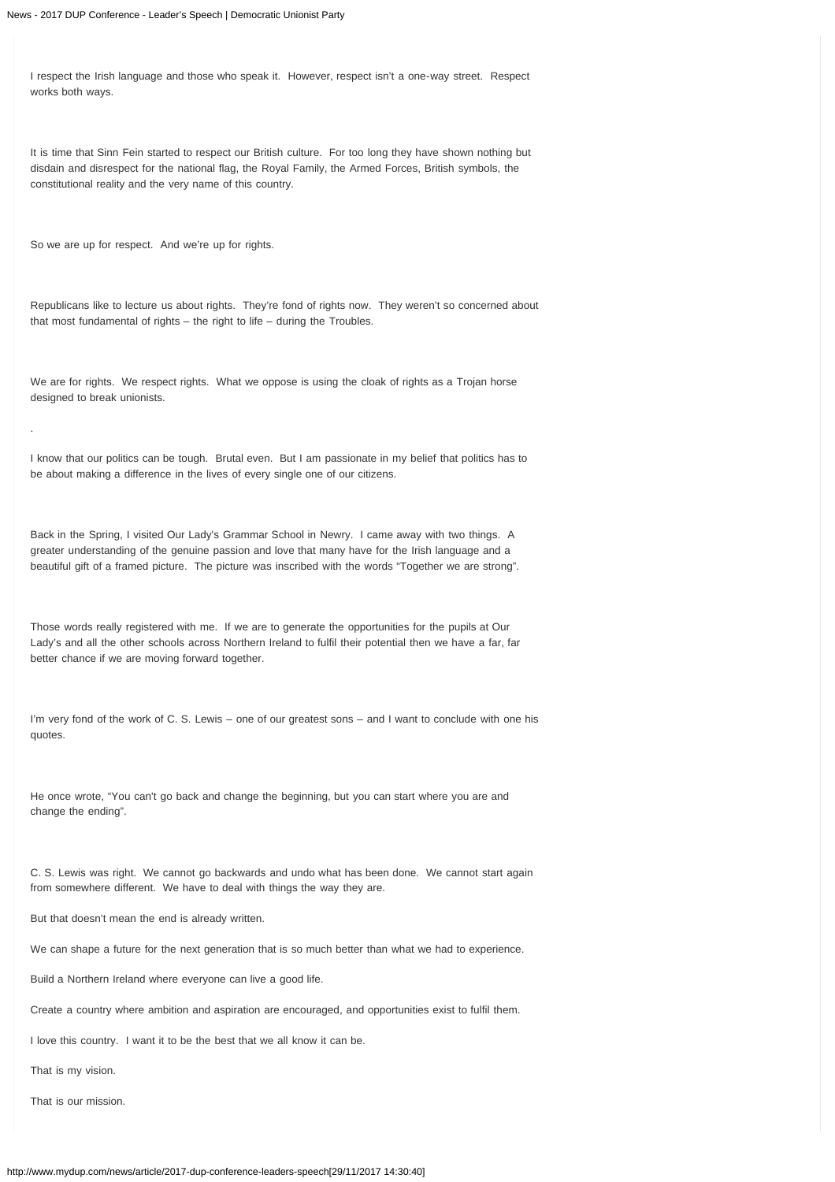I respect the Irish language and those who speak it. However, respect isn't a one-way street. Respect works both ways.

It is time that Sinn Fein started to respect our British culture. For too long they have shown nothing but disdain and disrespect for the national flag, the Royal Family, the Armed Forces, British symbols, the constitutional reality and the very name of this country.

So we are up for respect. And we're up for rights.

.

Republicans like to lecture us about rights. They're fond of rights now. They weren't so concerned about that most fundamental of rights – the right to life – during the Troubles.

We are for rights. We respect rights. What we oppose is using the cloak of rights as a Trojan horse designed to break unionists.

I know that our politics can be tough. Brutal even. But I am passionate in my belief that politics has to be about making a difference in the lives of every single one of our citizens.

Back in the Spring, I visited Our Lady's Grammar School in Newry. I came away with two things. A greater understanding of the genuine passion and love that many have for the Irish language and a beautiful gift of a framed picture. The picture was inscribed with the words "Together we are strong".

Those words really registered with me. If we are to generate the opportunities for the pupils at Our Lady's and all the other schools across Northern Ireland to fulfil their potential then we have a far, far better chance if we are moving forward together.

I'm very fond of the work of C. S. Lewis – one of our greatest sons – and I want to conclude with one his quotes.

He once wrote, "You can't go back and change the beginning, but you can start where you are and change the ending".

C. S. Lewis was right. We cannot go backwards and undo what has been done. We cannot start again from somewhere different. We have to deal with things the way they are.

But that doesn't mean the end is already written.

We can shape a future for the next generation that is so much better than what we had to experience.

Build a Northern Ireland where everyone can live a good life.

Create a country where ambition and aspiration are encouraged, and opportunities exist to fulfil them.

I love this country. I want it to be the best that we all know it can be.

That is my vision.

That is our mission.